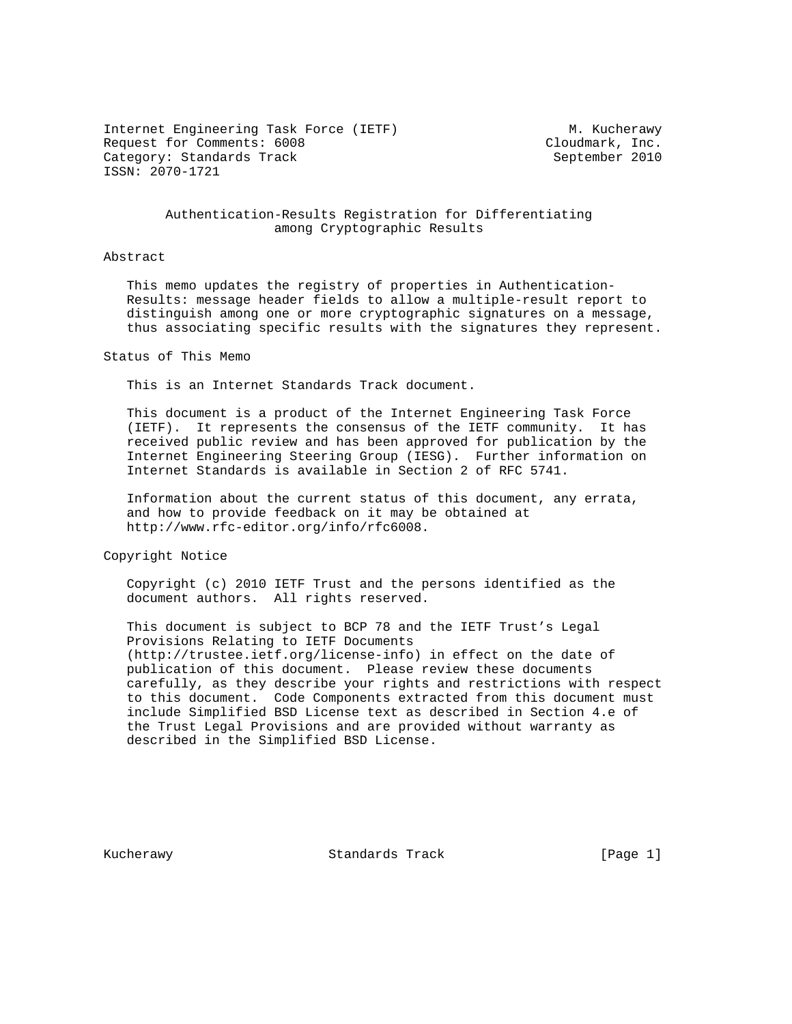Internet Engineering Task Force (IETF) M. Kucherawy Request for Comments: 6008 Cloudmark, Inc. Category: Standards Track September 2010 ISSN: 2070-1721

### Authentication-Results Registration for Differentiating among Cryptographic Results

#### Abstract

 This memo updates the registry of properties in Authentication- Results: message header fields to allow a multiple-result report to distinguish among one or more cryptographic signatures on a message, thus associating specific results with the signatures they represent.

### Status of This Memo

This is an Internet Standards Track document.

 This document is a product of the Internet Engineering Task Force (IETF). It represents the consensus of the IETF community. It has received public review and has been approved for publication by the Internet Engineering Steering Group (IESG). Further information on Internet Standards is available in Section 2 of RFC 5741.

 Information about the current status of this document, any errata, and how to provide feedback on it may be obtained at http://www.rfc-editor.org/info/rfc6008.

Copyright Notice

 Copyright (c) 2010 IETF Trust and the persons identified as the document authors. All rights reserved.

 This document is subject to BCP 78 and the IETF Trust's Legal Provisions Relating to IETF Documents (http://trustee.ietf.org/license-info) in effect on the date of publication of this document. Please review these documents carefully, as they describe your rights and restrictions with respect to this document. Code Components extracted from this document must include Simplified BSD License text as described in Section 4.e of the Trust Legal Provisions and are provided without warranty as described in the Simplified BSD License.

Kucherawy Standards Track [Page 1]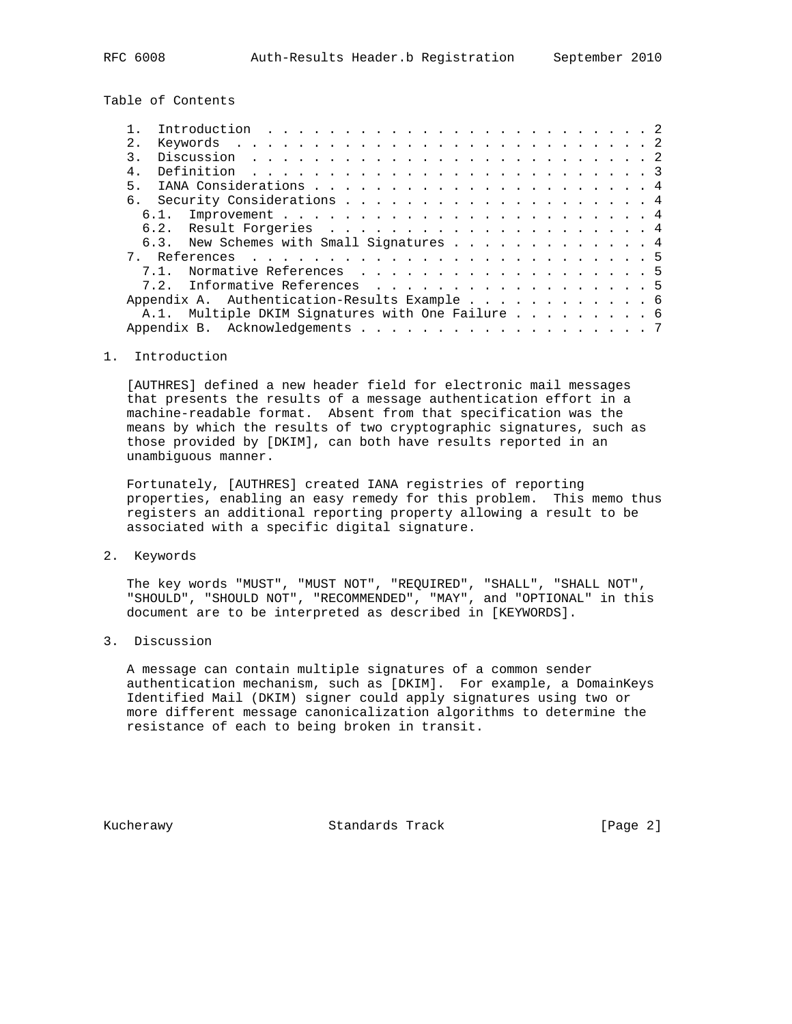Table of Contents

|                |      | Introduction $\ldots \ldots \ldots \ldots \ldots \ldots \ldots \ldots \ldots \ldots$ |  |  |  |  |  |  |  |  |  |  |  |  |  |
|----------------|------|--------------------------------------------------------------------------------------|--|--|--|--|--|--|--|--|--|--|--|--|--|
| 2.1            |      |                                                                                      |  |  |  |  |  |  |  |  |  |  |  |  |  |
|                |      |                                                                                      |  |  |  |  |  |  |  |  |  |  |  |  |  |
| $4 \,$         |      |                                                                                      |  |  |  |  |  |  |  |  |  |  |  |  |  |
| 5 <sub>1</sub> |      |                                                                                      |  |  |  |  |  |  |  |  |  |  |  |  |  |
|                |      |                                                                                      |  |  |  |  |  |  |  |  |  |  |  |  |  |
|                |      |                                                                                      |  |  |  |  |  |  |  |  |  |  |  |  |  |
|                |      |                                                                                      |  |  |  |  |  |  |  |  |  |  |  |  |  |
|                |      | 6.3. New Schemes with Small Signatures 4                                             |  |  |  |  |  |  |  |  |  |  |  |  |  |
|                |      |                                                                                      |  |  |  |  |  |  |  |  |  |  |  |  |  |
|                | 71   | Normative References 5                                                               |  |  |  |  |  |  |  |  |  |  |  |  |  |
|                | 7.2. | Informative References 5                                                             |  |  |  |  |  |  |  |  |  |  |  |  |  |
|                |      | Appendix A. Authentication-Results Example 6                                         |  |  |  |  |  |  |  |  |  |  |  |  |  |
|                |      | A.1. Multiple DKIM Signatures with One Failure 6                                     |  |  |  |  |  |  |  |  |  |  |  |  |  |
|                |      |                                                                                      |  |  |  |  |  |  |  |  |  |  |  |  |  |
|                |      |                                                                                      |  |  |  |  |  |  |  |  |  |  |  |  |  |

### 1. Introduction

 [AUTHRES] defined a new header field for electronic mail messages that presents the results of a message authentication effort in a machine-readable format. Absent from that specification was the means by which the results of two cryptographic signatures, such as those provided by [DKIM], can both have results reported in an unambiguous manner.

 Fortunately, [AUTHRES] created IANA registries of reporting properties, enabling an easy remedy for this problem. This memo thus registers an additional reporting property allowing a result to be associated with a specific digital signature.

2. Keywords

 The key words "MUST", "MUST NOT", "REQUIRED", "SHALL", "SHALL NOT", "SHOULD", "SHOULD NOT", "RECOMMENDED", "MAY", and "OPTIONAL" in this document are to be interpreted as described in [KEYWORDS].

3. Discussion

 A message can contain multiple signatures of a common sender authentication mechanism, such as [DKIM]. For example, a DomainKeys Identified Mail (DKIM) signer could apply signatures using two or more different message canonicalization algorithms to determine the resistance of each to being broken in transit.

Kucherawy Standards Track [Page 2]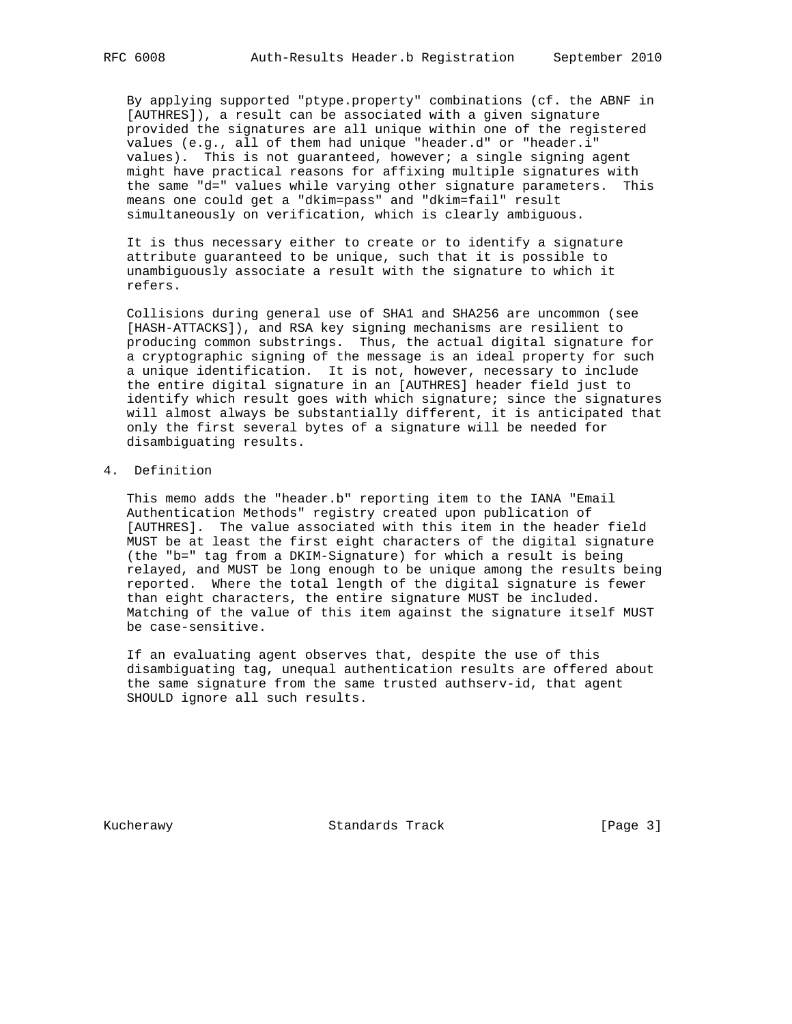By applying supported "ptype.property" combinations (cf. the ABNF in [AUTHRES]), a result can be associated with a given signature provided the signatures are all unique within one of the registered values (e.g., all of them had unique "header.d" or "header.i" values). This is not guaranteed, however; a single signing agent might have practical reasons for affixing multiple signatures with the same "d=" values while varying other signature parameters. This means one could get a "dkim=pass" and "dkim=fail" result simultaneously on verification, which is clearly ambiguous.

 It is thus necessary either to create or to identify a signature attribute guaranteed to be unique, such that it is possible to unambiguously associate a result with the signature to which it refers.

 Collisions during general use of SHA1 and SHA256 are uncommon (see [HASH-ATTACKS]), and RSA key signing mechanisms are resilient to producing common substrings. Thus, the actual digital signature for a cryptographic signing of the message is an ideal property for such a unique identification. It is not, however, necessary to include the entire digital signature in an [AUTHRES] header field just to identify which result goes with which signature; since the signatures will almost always be substantially different, it is anticipated that only the first several bytes of a signature will be needed for disambiguating results.

## 4. Definition

 This memo adds the "header.b" reporting item to the IANA "Email Authentication Methods" registry created upon publication of [AUTHRES]. The value associated with this item in the header field MUST be at least the first eight characters of the digital signature (the "b=" tag from a DKIM-Signature) for which a result is being relayed, and MUST be long enough to be unique among the results being reported. Where the total length of the digital signature is fewer than eight characters, the entire signature MUST be included. Matching of the value of this item against the signature itself MUST be case-sensitive.

 If an evaluating agent observes that, despite the use of this disambiguating tag, unequal authentication results are offered about the same signature from the same trusted authserv-id, that agent SHOULD ignore all such results.

Kucherawy Standards Track [Page 3]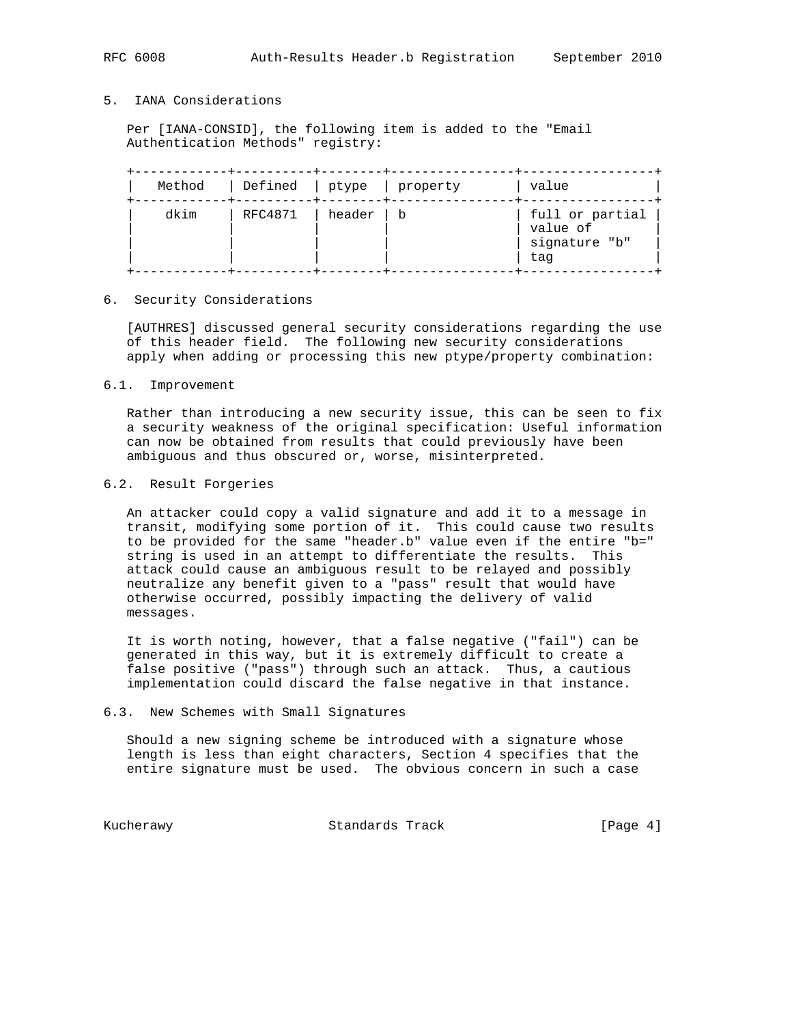## 5. IANA Considerations

 Per [IANA-CONSID], the following item is added to the "Email Authentication Methods" registry:

| Method | Defined   ptype   property |        |     | value                                               |
|--------|----------------------------|--------|-----|-----------------------------------------------------|
| dkim   | RFC4871                    | header | l b | full or partial<br>value of<br>signature "b"<br>tag |

#### 6. Security Considerations

 [AUTHRES] discussed general security considerations regarding the use of this header field. The following new security considerations apply when adding or processing this new ptype/property combination:

### 6.1. Improvement

 Rather than introducing a new security issue, this can be seen to fix a security weakness of the original specification: Useful information can now be obtained from results that could previously have been ambiguous and thus obscured or, worse, misinterpreted.

### 6.2. Result Forgeries

 An attacker could copy a valid signature and add it to a message in transit, modifying some portion of it. This could cause two results to be provided for the same "header.b" value even if the entire "b=" string is used in an attempt to differentiate the results. This attack could cause an ambiguous result to be relayed and possibly neutralize any benefit given to a "pass" result that would have otherwise occurred, possibly impacting the delivery of valid messages.

 It is worth noting, however, that a false negative ("fail") can be generated in this way, but it is extremely difficult to create a false positive ("pass") through such an attack. Thus, a cautious implementation could discard the false negative in that instance.

#### 6.3. New Schemes with Small Signatures

 Should a new signing scheme be introduced with a signature whose length is less than eight characters, Section 4 specifies that the entire signature must be used. The obvious concern in such a case

Kucherawy Standards Track [Page 4]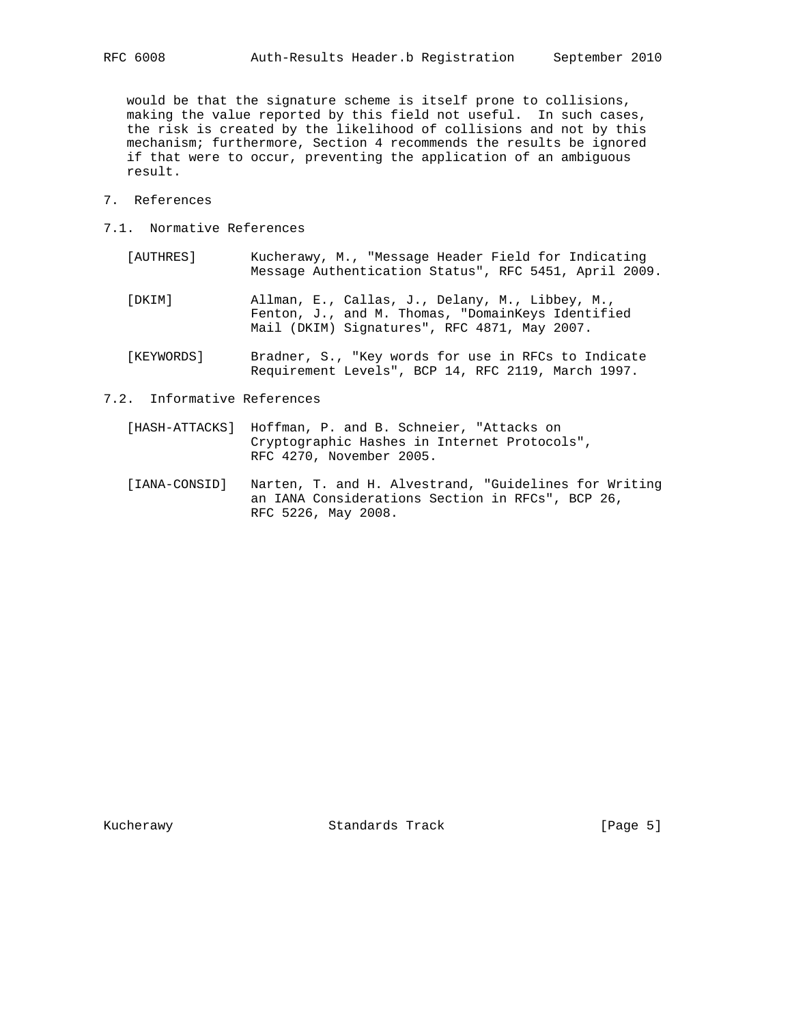would be that the signature scheme is itself prone to collisions, making the value reported by this field not useful. In such cases, the risk is created by the likelihood of collisions and not by this mechanism; furthermore, Section 4 recommends the results be ignored if that were to occur, preventing the application of an ambiguous result.

- 7. References
- 7.1. Normative References
	- [AUTHRES] Kucherawy, M., "Message Header Field for Indicating Message Authentication Status", RFC 5451, April 2009.
	- [DKIM] Allman, E., Callas, J., Delany, M., Libbey, M., Fenton, J., and M. Thomas, "DomainKeys Identified Mail (DKIM) Signatures", RFC 4871, May 2007.
	- [KEYWORDS] Bradner, S., "Key words for use in RFCs to Indicate Requirement Levels", BCP 14, RFC 2119, March 1997.
- 7.2. Informative References
	- [HASH-ATTACKS] Hoffman, P. and B. Schneier, "Attacks on Cryptographic Hashes in Internet Protocols", RFC 4270, November 2005.
	- [IANA-CONSID] Narten, T. and H. Alvestrand, "Guidelines for Writing an IANA Considerations Section in RFCs", BCP 26, RFC 5226, May 2008.

Kucherawy Standards Track [Page 5]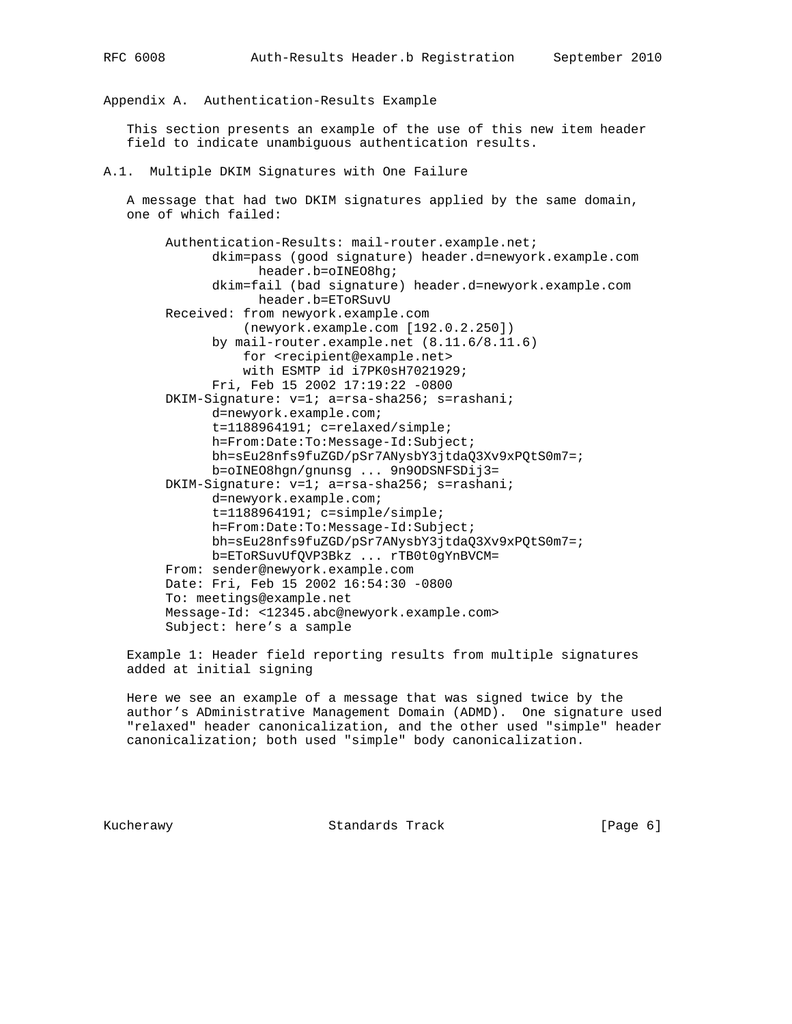Appendix A. Authentication-Results Example

 This section presents an example of the use of this new item header field to indicate unambiguous authentication results.

### A.1. Multiple DKIM Signatures with One Failure

 A message that had two DKIM signatures applied by the same domain, one of which failed:

 Authentication-Results: mail-router.example.net; dkim=pass (good signature) header.d=newyork.example.com header.b=oINEO8hg; dkim=fail (bad signature) header.d=newyork.example.com header.b=EToRSuvU Received: from newyork.example.com (newyork.example.com [192.0.2.250]) by mail-router.example.net (8.11.6/8.11.6) for <recipient@example.net> with ESMTP id i7PK0sH7021929; Fri, Feb 15 2002 17:19:22 -0800 DKIM-Signature: v=1; a=rsa-sha256; s=rashani; d=newyork.example.com; t=1188964191; c=relaxed/simple; h=From:Date:To:Message-Id:Subject; bh=sEu28nfs9fuZGD/pSr7ANysbY3jtdaQ3Xv9xPQtS0m7=; b=oINEO8hgn/gnunsg ... 9n9ODSNFSDij3= DKIM-Signature: v=1; a=rsa-sha256; s=rashani; d=newyork.example.com; t=1188964191; c=simple/simple; h=From:Date:To:Message-Id:Subject; bh=sEu28nfs9fuZGD/pSr7ANysbY3jtdaQ3Xv9xPQtS0m7=; b=EToRSuvUfQVP3Bkz ... rTB0t0gYnBVCM= From: sender@newyork.example.com Date: Fri, Feb 15 2002 16:54:30 -0800 To: meetings@example.net Message-Id: <12345.abc@newyork.example.com> Subject: here's a sample

 Example 1: Header field reporting results from multiple signatures added at initial signing

 Here we see an example of a message that was signed twice by the author's ADministrative Management Domain (ADMD). One signature used "relaxed" header canonicalization, and the other used "simple" header canonicalization; both used "simple" body canonicalization.

Kucherawy Standards Track [Page 6]